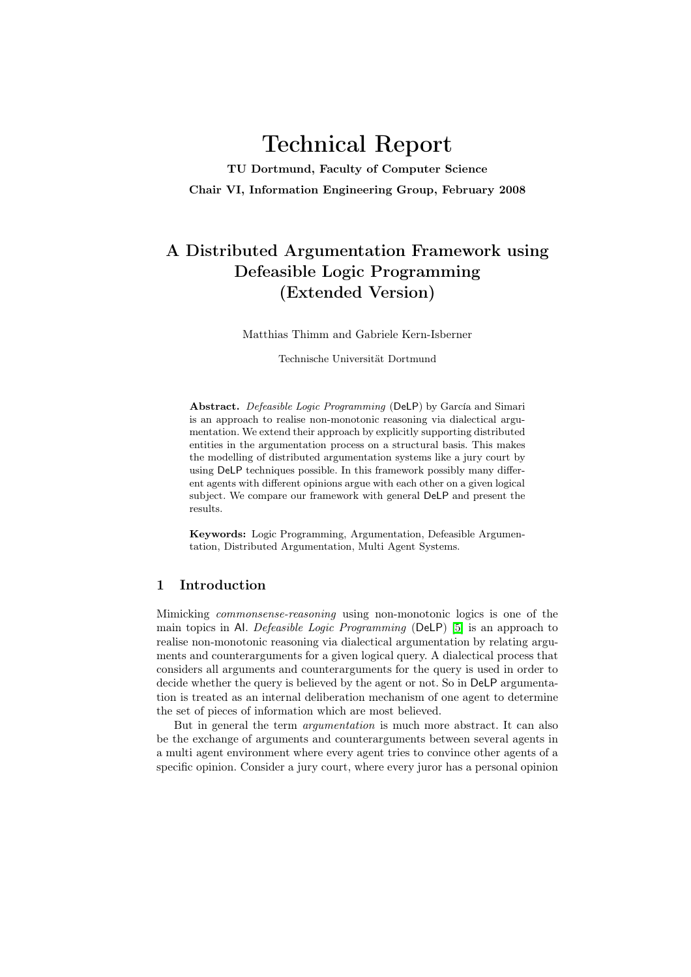# Technical Report

TU Dortmund, Faculty of Computer Science Chair VI, Information Engineering Group, February 2008

# A Distributed Argumentation Framework using Defeasible Logic Programming (Extended Version)

Matthias Thimm and Gabriele Kern-Isberner

Technische Universität Dortmund

Abstract. Defeasible Logic Programming (DeLP) by García and Simari is an approach to realise non-monotonic reasoning via dialectical argumentation. We extend their approach by explicitly supporting distributed entities in the argumentation process on a structural basis. This makes the modelling of distributed argumentation systems like a jury court by using DeLP techniques possible. In this framework possibly many different agents with different opinions argue with each other on a given logical subject. We compare our framework with general DeLP and present the results.

Keywords: Logic Programming, Argumentation, Defeasible Argumentation, Distributed Argumentation, Multi Agent Systems.

## 1 Introduction

Mimicking commonsense-reasoning using non-monotonic logics is one of the main topics in Al. Defeasible Logic Programming (DeLP) [\[5\]](#page-13-0) is an approach to realise non-monotonic reasoning via dialectical argumentation by relating arguments and counterarguments for a given logical query. A dialectical process that considers all arguments and counterarguments for the query is used in order to decide whether the query is believed by the agent or not. So in DeLP argumentation is treated as an internal deliberation mechanism of one agent to determine the set of pieces of information which are most believed.

But in general the term argumentation is much more abstract. It can also be the exchange of arguments and counterarguments between several agents in a multi agent environment where every agent tries to convince other agents of a specific opinion. Consider a jury court, where every juror has a personal opinion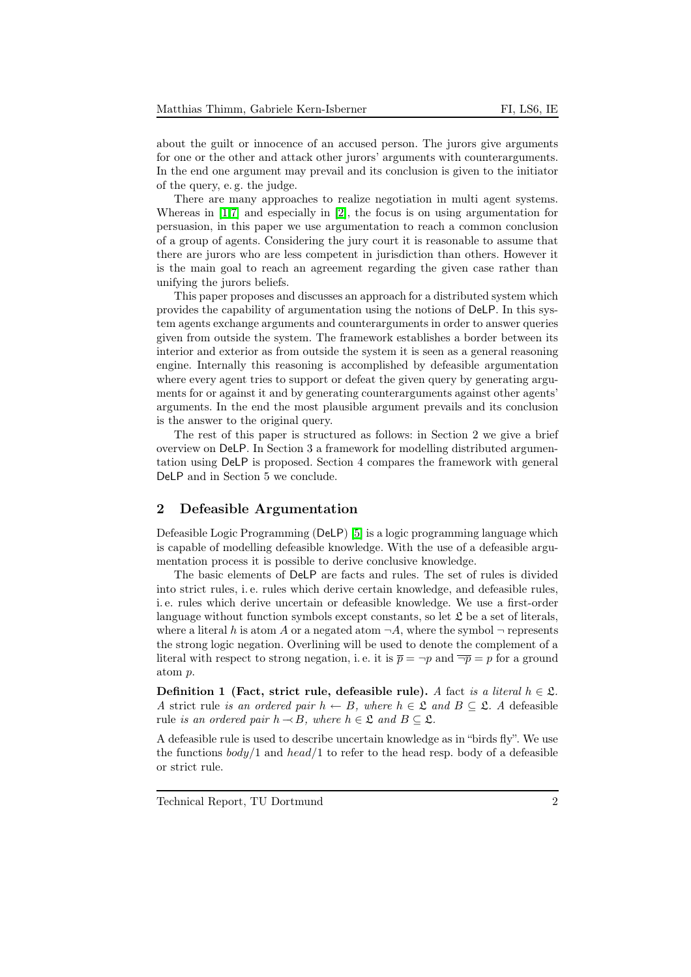about the guilt or innocence of an accused person. The jurors give arguments for one or the other and attack other jurors' arguments with counterarguments. In the end one argument may prevail and its conclusion is given to the initiator of the query, e. g. the judge.

There are many approaches to realize negotiation in multi agent systems. Whereas in [\[1](#page-13-1)[,7\]](#page-13-2) and especially in [\[2\]](#page-13-3), the focus is on using argumentation for persuasion, in this paper we use argumentation to reach a common conclusion of a group of agents. Considering the jury court it is reasonable to assume that there are jurors who are less competent in jurisdiction than others. However it is the main goal to reach an agreement regarding the given case rather than unifying the jurors beliefs.

This paper proposes and discusses an approach for a distributed system which provides the capability of argumentation using the notions of DeLP. In this system agents exchange arguments and counterarguments in order to answer queries given from outside the system. The framework establishes a border between its interior and exterior as from outside the system it is seen as a general reasoning engine. Internally this reasoning is accomplished by defeasible argumentation where every agent tries to support or defeat the given query by generating arguments for or against it and by generating counterarguments against other agents' arguments. In the end the most plausible argument prevails and its conclusion is the answer to the original query.

The rest of this paper is structured as follows: in Section 2 we give a brief overview on DeLP. In Section 3 a framework for modelling distributed argumentation using DeLP is proposed. Section 4 compares the framework with general DeLP and in Section 5 we conclude.

#### <span id="page-1-0"></span>2 Defeasible Argumentation

Defeasible Logic Programming (DeLP) [\[5\]](#page-13-0) is a logic programming language which is capable of modelling defeasible knowledge. With the use of a defeasible argumentation process it is possible to derive conclusive knowledge.

The basic elements of DeLP are facts and rules. The set of rules is divided into strict rules, i. e. rules which derive certain knowledge, and defeasible rules, i. e. rules which derive uncertain or defeasible knowledge. We use a first-order language without function symbols except constants, so let  $\mathfrak L$  be a set of literals, where a literal h is atom A or a negated atom  $\neg A$ , where the symbol  $\neg$  represents the strong logic negation. Overlining will be used to denote the complement of a literal with respect to strong negation, i.e. it is  $\overline{p} = \neg p$  and  $\overline{\neg p} = p$  for a ground atom p.

Definition 1 (Fact, strict rule, defeasible rule). A fact is a literal  $h \in \mathfrak{L}$ . A strict rule is an ordered pair  $h \leftarrow B$ , where  $h \in \mathfrak{L}$  and  $B \subset \mathfrak{L}$ . A defeasible rule is an ordered pair  $h \rightarrow B$ , where  $h \in \mathfrak{L}$  and  $B \subset \mathfrak{L}$ .

A defeasible rule is used to describe uncertain knowledge as in "birds fly". We use the functions  $body/1$  and  $head/1$  to refer to the head resp. body of a defeasible or strict rule.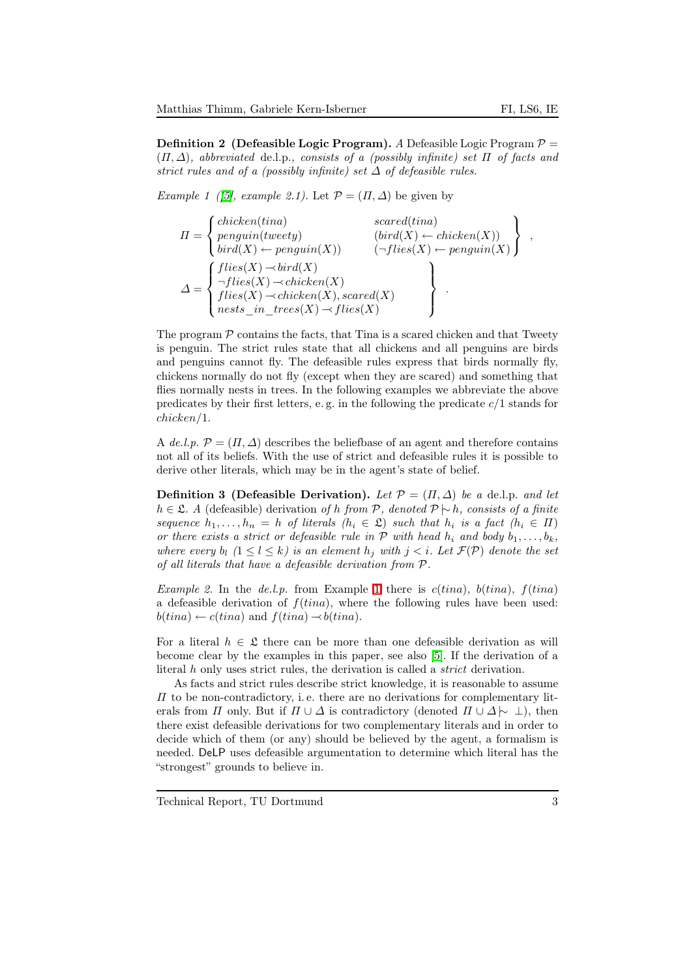,

**Definition 2** (Defeasible Logic Program). A Defeasible Logic Program  $P =$  $(\Pi, \Delta)$ , abbreviated de.l.p., consists of a (possibly infinite) set  $\Pi$  of facts and strict rules and of a (possibly infinite) set  $\Delta$  of defeasible rules.

<span id="page-2-0"></span>Example 1 ([\[5\]](#page-13-0), example 2.1). Let  $\mathcal{P} = (\Pi, \Delta)$  be given by

$$
II = \begin{Bmatrix} chicken(tina) & & & \text{scared(tina)} \\ penguin(tweety) & & (bird(X) \leftarrow chicken(X)) \\ bird(X) \leftarrow penguin(X) & & (\neg flies(X) \leftarrow penguin(X) \\ \\ \neg flies(X) \rightarrow bird(X) & & (\neg flies(X) \leftarrow penguin(X) \\ files(X) \rightarrow chicken(X) & & \\ files(X) \rightarrow chicken(X), \text{scared}(X) & & \\ \text{nets\_in\_trees}(X) \rightarrow flies(X) & & \end{Bmatrix}.
$$

The program  $P$  contains the facts, that Tina is a scared chicken and that Tweety is penguin. The strict rules state that all chickens and all penguins are birds and penguins cannot fly. The defeasible rules express that birds normally fly, chickens normally do not fly (except when they are scared) and something that flies normally nests in trees. In the following examples we abbreviate the above predicates by their first letters, e.g. in the following the predicate  $c/1$  stands for chicken/1.

A de.l.p.  $\mathcal{P} = (\Pi, \Delta)$  describes the beliefbase of an agent and therefore contains not all of its beliefs. With the use of strict and defeasible rules it is possible to derive other literals, which may be in the agent's state of belief.

**Definition 3** (Defeasible Derivation). Let  $\mathcal{P} = (\Pi, \Delta)$  be a de.l.p. and let h ∈ £. A (defeasible) derivation of h from P, denoted  $\mathcal{P} \setminus h$ , consists of a finite sequence  $h_1, \ldots, h_n = h$  of literals  $(h_i \in \mathfrak{L})$  such that  $h_i$  is a fact  $(h_i \in \Pi)$ or there exists a strict or defeasible rule in  $P$  with head  $h_i$  and body  $b_1, \ldots, b_k$ , where every  $b_l$   $(1 \leq l \leq k)$  is an element  $h_j$  with  $j < i$ . Let  $\mathcal{F}(\mathcal{P})$  denote the set of all literals that have a defeasible derivation from P.

Example 2. In the de.l.p. from Example [1](#page-2-0) there is  $c(tina)$ ,  $b(tina)$ ,  $f(tina)$ a defeasible derivation of  $f(tina)$ , where the following rules have been used:  $b(tina) \leftarrow c(tina)$  and  $f(tina) \rightarrow b(tina)$ .

For a literal  $h \in \mathfrak{L}$  there can be more than one defeasible derivation as will become clear by the examples in this paper, see also [\[5\]](#page-13-0). If the derivation of a literal h only uses strict rules, the derivation is called a strict derivation.

As facts and strict rules describe strict knowledge, it is reasonable to assume  $\Pi$  to be non-contradictory, i.e. there are no derivations for complementary literals from  $\Pi$  only. But if  $\Pi \cup \Delta$  is contradictory (denoted  $\Pi \cup \Delta \sim \bot$ ), then there exist defeasible derivations for two complementary literals and in order to decide which of them (or any) should be believed by the agent, a formalism is needed. DeLP uses defeasible argumentation to determine which literal has the "strongest" grounds to believe in.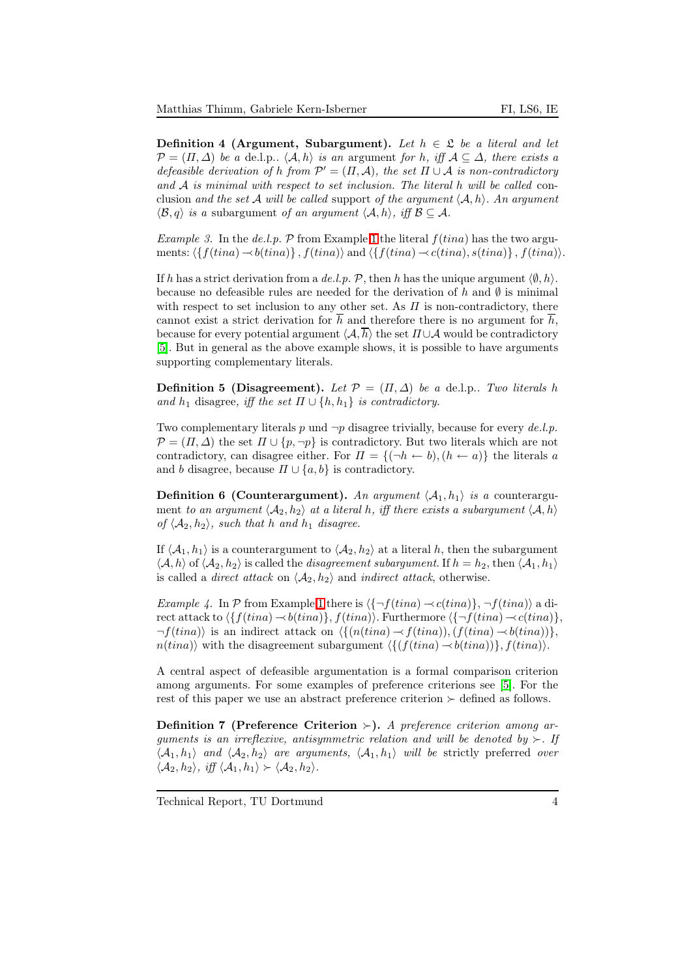Definition 4 (Argument, Subargument). Let  $h \in \mathfrak{L}$  be a literal and let  $\mathcal{P} = (\Pi, \Delta)$  be a de.l.p..  $\langle \mathcal{A}, h \rangle$  is an argument for h, iff  $\mathcal{A} \subseteq \Delta$ , there exists a defeasible derivation of h from  $\mathcal{P}' = (\Pi, \mathcal{A})$ , the set  $\Pi \cup \mathcal{A}$  is non-contradictory and  $A$  is minimal with respect to set inclusion. The literal h will be called conclusion and the set A will be called support of the argument  $\langle A, h \rangle$ . An argument  $\langle \mathcal{B}, q \rangle$  is a subargument of an argument  $\langle \mathcal{A}, h \rangle$ , iff  $\mathcal{B} \subseteq \mathcal{A}$ .

Example 3. In the de.l.p.  $P$  from Example [1](#page-2-0) the literal  $f(tina)$  has the two arguments:  $\langle \{f(tina) \rightarrow b(tina)\}, f(tina)\rangle$  and  $\langle \{f(tina) \rightarrow c(tina), s(tina)\}, f(tina)\rangle$ .

If h has a strict derivation from a de.l.p. P, then h has the unique argument  $\langle \emptyset, h \rangle$ . because no defeasible rules are needed for the derivation of h and  $\emptyset$  is minimal with respect to set inclusion to any other set. As  $\Pi$  is non-contradictory, there cannot exist a strict derivation for  $\overline{h}$  and therefore there is no argument for  $\overline{h}$ , because for every potential argument  $\langle A, \overline{h} \rangle$  the set  $\Pi \cup A$  would be contradictory [\[5\]](#page-13-0). But in general as the above example shows, it is possible to have arguments supporting complementary literals.

**Definition 5 (Disagreement).** Let  $\mathcal{P} = (\Pi, \Delta)$  be a de.l.p.. Two literals h and  $h_1$  disagree, iff the set  $\Pi \cup \{h, h_1\}$  is contradictory.

Two complementary literals p und  $\neg p$  disagree trivially, because for every de.l.p.  $\mathcal{P} = (\Pi, \Delta)$  the set  $\Pi \cup \{p, \neg p\}$  is contradictory. But two literals which are not contradictory, can disagree either. For  $\Pi = \{(\neg h \leftarrow b), (h \leftarrow a)\}\$ the literals a and b disagree, because  $\Pi \cup \{a, b\}$  is contradictory.

**Definition 6 (Counterargument).** An argument  $\langle A_1, h_1 \rangle$  is a counterargument to an argument  $\langle A_2, h_2 \rangle$  at a literal h, iff there exists a subargument  $\langle A, h \rangle$ of  $\langle A_2, h_2 \rangle$ , such that h and  $h_1$  disagree.

If  $\langle A_1, h_1 \rangle$  is a counterargument to  $\langle A_2, h_2 \rangle$  at a literal h, then the subargument  $\langle A, h \rangle$  of  $\langle A_2, h_2 \rangle$  is called the *disagreement subargument*. If  $h = h_2$ , then  $\langle A_1, h_1 \rangle$ is called a *direct attack* on  $\langle A_2, h_2 \rangle$  and *indirect attack*, otherwise.

Example 4. In P from Example [1](#page-2-0) there is  $\langle \{-f(tina) \prec c(tina)\}, \neg f(tina)\rangle$  a direct attack to  $\{f(tina) \rightarrow b(tina)\}, f(tina)$ . Furthermore  $\{\neg f(tina) \rightarrow c(tina)\},$  $\neg f(tina)$  is an indirect attack on  $\langle \{(n(tina) \rightarrow f(tina)),(f(tina) \rightarrow b(tina))\}\rangle$ ,  $n(tina)$  with the disagreement subargument  $\langle \{(f(tina) \rightarrow b(tina))\}, f(tina)\rangle$ .

A central aspect of defeasible argumentation is a formal comparison criterion among arguments. For some examples of preference criterions see [\[5\]](#page-13-0). For the rest of this paper we use an abstract preference criterion  $\succ$  defined as follows.

Definition 7 (Preference Criterion ≻). A preference criterion among arguments is an irreflexive, antisymmetric relation and will be denoted by  $\succ$ . If  $\langle A_1, h_1 \rangle$  and  $\langle A_2, h_2 \rangle$  are arguments,  $\langle A_1, h_1 \rangle$  will be strictly preferred over  $\langle \mathcal{A}_2, h_2 \rangle$ , iff  $\langle \mathcal{A}_1, h_1 \rangle \succ \langle \mathcal{A}_2, h_2 \rangle$ .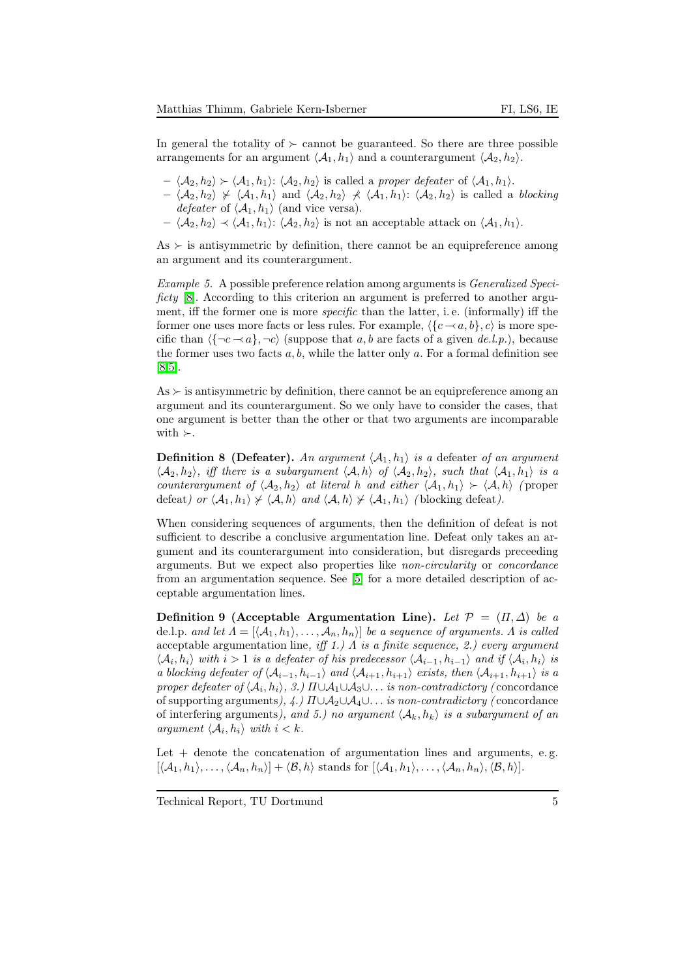In general the totality of  $\succeq$  cannot be guaranteed. So there are three possible arrangements for an argument  $\langle A_1, h_1 \rangle$  and a counterargument  $\langle A_2, h_2 \rangle$ .

- $\langle A_2, h_2 \rangle \succ \langle A_1, h_1 \rangle$ :  $\langle A_2, h_2 \rangle$  is called a proper defeater of  $\langle A_1, h_1 \rangle$ .
- $\langle A_2, h_2 \rangle \nbrace \langle A_1, h_1 \rangle$  and  $\langle A_2, h_2 \rangle \nbrace \langle A_1, h_1 \rangle$ :  $\langle A_2, h_2 \rangle$  is called a blocking *defeater* of  $\langle A_1, h_1 \rangle$  (and vice versa).
- $\langle A_2, h_2 \rangle \prec \langle A_1, h_1 \rangle$ :  $\langle A_2, h_2 \rangle$  is not an acceptable attack on  $\langle A_1, h_1 \rangle$ .

 $As \succ is$  antisymmetric by definition, there cannot be an equipreference among an argument and its counterargument.

Example 5. A possible preference relation among arguments is Generalized Speci-ficty [\[8\]](#page-13-4). According to this criterion an argument is preferred to another argument, iff the former one is more specific than the latter, i. e. (informally) iff the former one uses more facts or less rules. For example,  $\langle {c - a, b}, c \rangle$  is more specific than  $\langle \{-c \prec a\}, \neg c \rangle$  (suppose that a, b are facts of a given de.l.p.), because the former uses two facts  $a, b$ , while the latter only  $a$ . For a formal definition see [\[8,](#page-13-4)[5\]](#page-13-0).

 $As \succ$  is antisymmetric by definition, there cannot be an equipreference among an argument and its counterargument. So we only have to consider the cases, that one argument is better than the other or that two arguments are incomparable with  $\succ$ .

**Definition 8 (Defeater).** An argument  $\langle A_1, h_1 \rangle$  is a defeater of an argument  $\langle A_2, h_2 \rangle$ , iff there is a subargument  $\langle A, h \rangle$  of  $\langle A_2, h_2 \rangle$ , such that  $\langle A_1, h_1 \rangle$  is a counterargument of  $\langle A_2, h_2 \rangle$  at literal h and either  $\langle A_1, h_1 \rangle \succ \langle A, h \rangle$  (proper defeat) or  $\langle A_1, h_1 \rangle \not\sim \langle A, h \rangle$  and  $\langle A, h \rangle \not\sim \langle A_1, h_1 \rangle$  (blocking defeat).

When considering sequences of arguments, then the definition of defeat is not sufficient to describe a conclusive argumentation line. Defeat only takes an argument and its counterargument into consideration, but disregards preceeding arguments. But we expect also properties like non-circularity or concordance from an argumentation sequence. See [\[5\]](#page-13-0) for a more detailed description of acceptable argumentation lines.

Definition 9 (Acceptable Argumentation Line). Let  $\mathcal{P} = (\Pi, \Delta)$  be a de.l.p. and let  $\Lambda = [\langle A_1, h_1 \rangle, \ldots, A_n, h_n \rangle]$  be a sequence of arguments. A is called acceptable argumentation line, iff 1.)  $\Lambda$  is a finite sequence, 2.) every argument  $\langle A_i, h_i \rangle$  with  $i > 1$  is a defeater of his predecessor  $\langle A_{i-1}, h_{i-1} \rangle$  and if  $\langle A_i, h_i \rangle$  is a blocking defeater of  $\langle A_{i-1}, h_{i-1} \rangle$  and  $\langle A_{i+1}, h_{i+1} \rangle$  exists, then  $\langle A_{i+1}, h_{i+1} \rangle$  is a proper defeater of  $\langle A_i, h_i \rangle$ , 3.)  $\Pi \cup A_1 \cup A_3 \cup \ldots$  is non-contradictory (concordance of supporting arguments),  $\langle \psi | \Pi \cup A_2 \cup A_4 \cup \ldots \rangle$  is non-contradictory (concordance of interfering arguments), and 5.) no argument  $\langle A_k, h_k \rangle$  is a subargument of an argument  $\langle A_i, h_i \rangle$  with  $i < k$ .

Let  $+$  denote the concatenation of argumentation lines and arguments, e.g.  $[\langle A_1, h_1 \rangle, \ldots, \langle A_n, h_n \rangle] + \langle \mathcal{B}, h \rangle$  stands for  $[\langle A_1, h_1 \rangle, \ldots, \langle A_n, h_n \rangle, \langle \mathcal{B}, h \rangle].$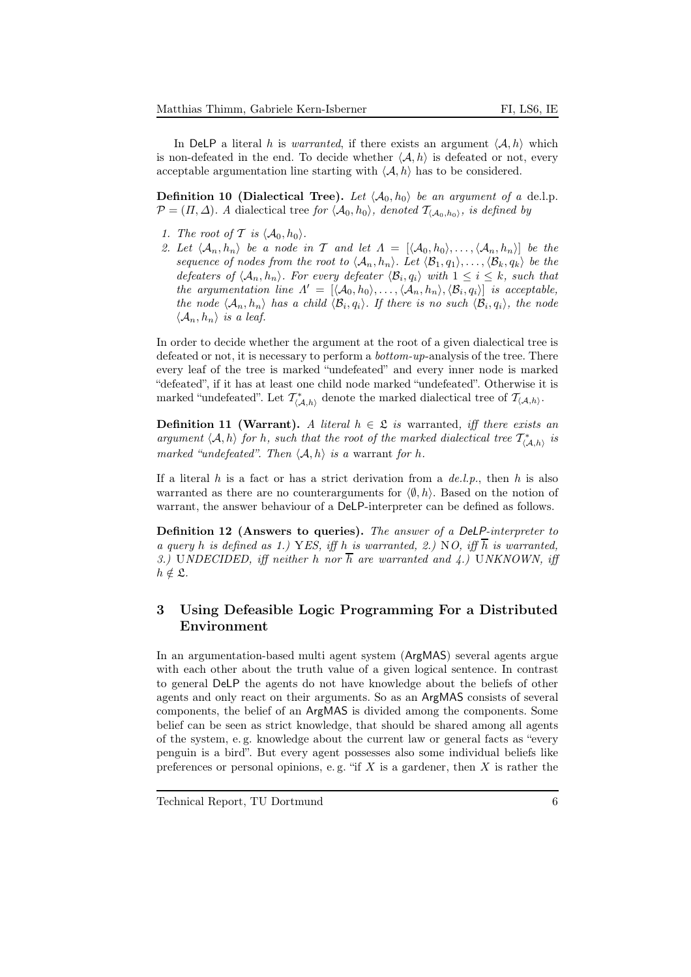In DeLP a literal h is *warranted*, if there exists an argument  $\langle A, h \rangle$  which is non-defeated in the end. To decide whether  $\langle A, h \rangle$  is defeated or not, every acceptable argumentation line starting with  $\langle A, h \rangle$  has to be considered.

<span id="page-5-0"></span>**Definition 10 (Dialectical Tree).** Let  $\langle A_0, h_0 \rangle$  be an argument of a de.l.p.  $\mathcal{P} = (\Pi, \Delta)$ . A dialectical tree for  $\langle \mathcal{A}_0, h_0 \rangle$ , denoted  $\mathcal{T}_{\langle \mathcal{A}_0, h_0 \rangle}$ , is defined by

- 1. The root of T is  $\langle A_0, h_0 \rangle$ .
- 2. Let  $\langle A_n, h_n \rangle$  be a node in T and let  $\Lambda = [\langle A_0, h_0 \rangle, \ldots, \langle A_n, h_n \rangle]$  be the sequence of nodes from the root to  $\langle A_n, h_n \rangle$ . Let  $\langle B_1, q_1 \rangle, \ldots, \langle B_k, q_k \rangle$  be the defeaters of  $\langle A_n, h_n \rangle$ . For every defeater  $\langle B_i, q_i \rangle$  with  $1 \leq i \leq k$ , such that the argumentation line  $\Lambda' = [\langle A_0, h_0 \rangle, \ldots, \langle A_n, h_n \rangle, \langle B_i, q_i \rangle]$  is acceptable, the node  $\langle A_n, h_n \rangle$  has a child  $\langle B_i, q_i \rangle$ . If there is no such  $\langle B_i, q_i \rangle$ , the node  $\langle \mathcal{A}_n, h_n \rangle$  is a leaf.

In order to decide whether the argument at the root of a given dialectical tree is defeated or not, it is necessary to perform a *bottom-up-analysis* of the tree. There every leaf of the tree is marked "undefeated" and every inner node is marked "defeated", if it has at least one child node marked "undefeated". Otherwise it is marked "undefeated". Let  $\mathcal{T}^*_{\langle A,h\rangle}$  denote the marked dialectical tree of  $\mathcal{T}_{\langle A,h\rangle}$ .

**Definition 11 (Warrant).** A literal  $h \in \mathcal{L}$  is warranted, iff there exists an argument  $\langle A, h \rangle$  for h, such that the root of the marked dialectical tree  $\mathcal{T}^*_{\langle A, h \rangle}$  is marked "undefeated". Then  $\langle A, h \rangle$  is a warrant for h.

If a literal h is a fact or has a strict derivation from a  $de.l.p.,$  then h is also warranted as there are no counterarguments for  $\langle \emptyset, h \rangle$ . Based on the notion of warrant, the answer behaviour of a DeLP-interpreter can be defined as follows.

<span id="page-5-1"></span>Definition 12 (Answers to queries). The answer of a DeLP-interpreter to a query h is defined as 1.) YES, iff h is warranted, 2.) NO, iff  $\overline{h}$  is warranted, 3.) UNDECIDED, iff neither h nor  $\overline{h}$  are warranted and 4.) UNKNOWN, iff  $h \notin \mathfrak{L}.$ 

# 3 Using Defeasible Logic Programming For a Distributed Environment

In an argumentation-based multi agent system (ArgMAS) several agents argue with each other about the truth value of a given logical sentence. In contrast to general DeLP the agents do not have knowledge about the beliefs of other agents and only react on their arguments. So as an ArgMAS consists of several components, the belief of an ArgMAS is divided among the components. Some belief can be seen as strict knowledge, that should be shared among all agents of the system, e. g. knowledge about the current law or general facts as "every penguin is a bird". But every agent possesses also some individual beliefs like preferences or personal opinions, e.g. "if  $X$  is a gardener, then  $X$  is rather the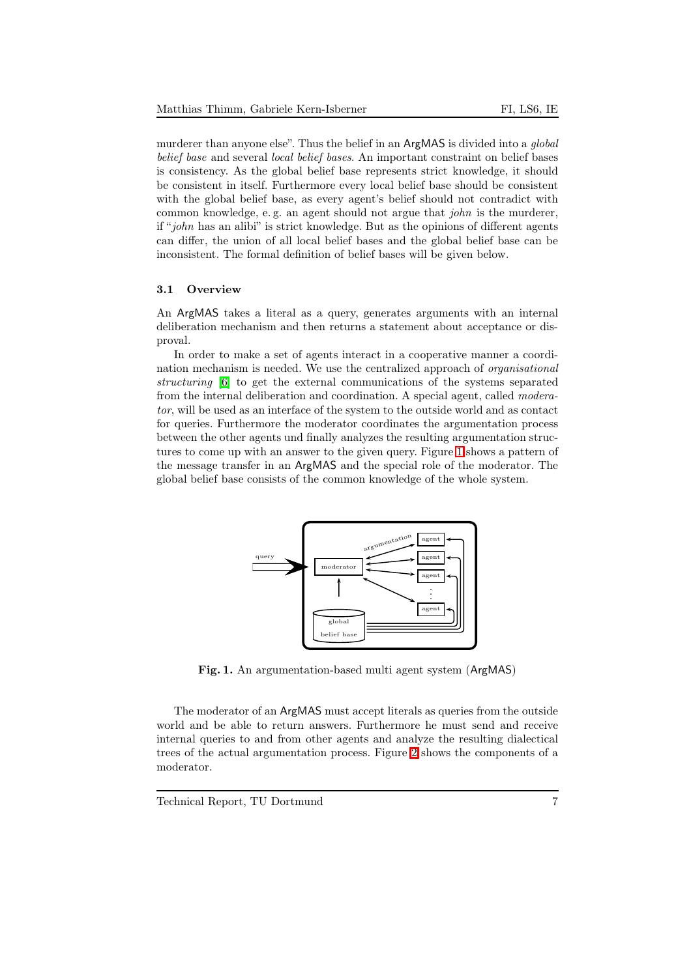murderer than anyone else". Thus the belief in an ArgMAS is divided into a *global* belief base and several local belief bases. An important constraint on belief bases is consistency. As the global belief base represents strict knowledge, it should be consistent in itself. Furthermore every local belief base should be consistent with the global belief base, as every agent's belief should not contradict with common knowledge, e. g. an agent should not argue that john is the murderer, if "john has an alibi" is strict knowledge. But as the opinions of different agents can differ, the union of all local belief bases and the global belief base can be inconsistent. The formal definition of belief bases will be given below.

#### 3.1 Overview

An ArgMAS takes a literal as a query, generates arguments with an internal deliberation mechanism and then returns a statement about acceptance or disproval.

In order to make a set of agents interact in a cooperative manner a coordination mechanism is needed. We use the centralized approach of organisational structuring [\[6\]](#page-13-5) to get the external communications of the systems separated from the internal deliberation and coordination. A special agent, called moderator, will be used as an interface of the system to the outside world and as contact for queries. Furthermore the moderator coordinates the argumentation process between the other agents und finally analyzes the resulting argumentation structures to come up with an answer to the given query. Figure [1](#page-6-0) shows a pattern of the message transfer in an ArgMAS and the special role of the moderator. The global belief base consists of the common knowledge of the whole system.



Fig. 1. An argumentation-based multi agent system (ArgMAS)

<span id="page-6-0"></span>The moderator of an ArgMAS must accept literals as queries from the outside world and be able to return answers. Furthermore he must send and receive internal queries to and from other agents and analyze the resulting dialectical trees of the actual argumentation process. Figure [2](#page-7-0) shows the components of a moderator.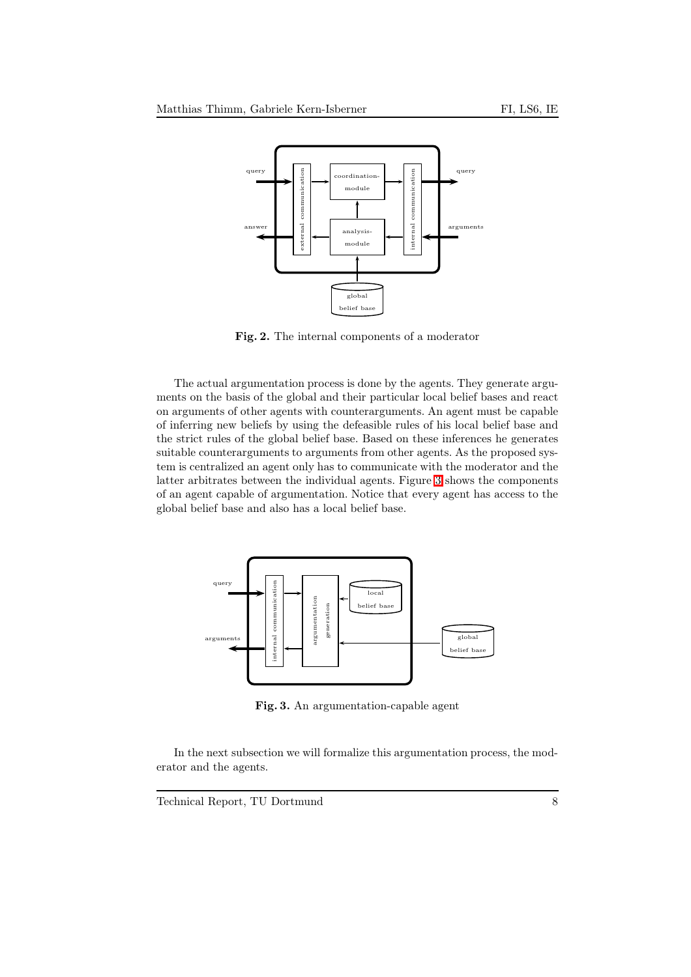

<span id="page-7-0"></span>Fig. 2. The internal components of a moderator

The actual argumentation process is done by the agents. They generate arguments on the basis of the global and their particular local belief bases and react on arguments of other agents with counterarguments. An agent must be capable of inferring new beliefs by using the defeasible rules of his local belief base and the strict rules of the global belief base. Based on these inferences he generates suitable counterarguments to arguments from other agents. As the proposed system is centralized an agent only has to communicate with the moderator and the latter arbitrates between the individual agents. Figure [3](#page-7-1) shows the components of an agent capable of argumentation. Notice that every agent has access to the global belief base and also has a local belief base.



<span id="page-7-1"></span>Fig. 3. An argumentation-capable agent

In the next subsection we will formalize this argumentation process, the moderator and the agents.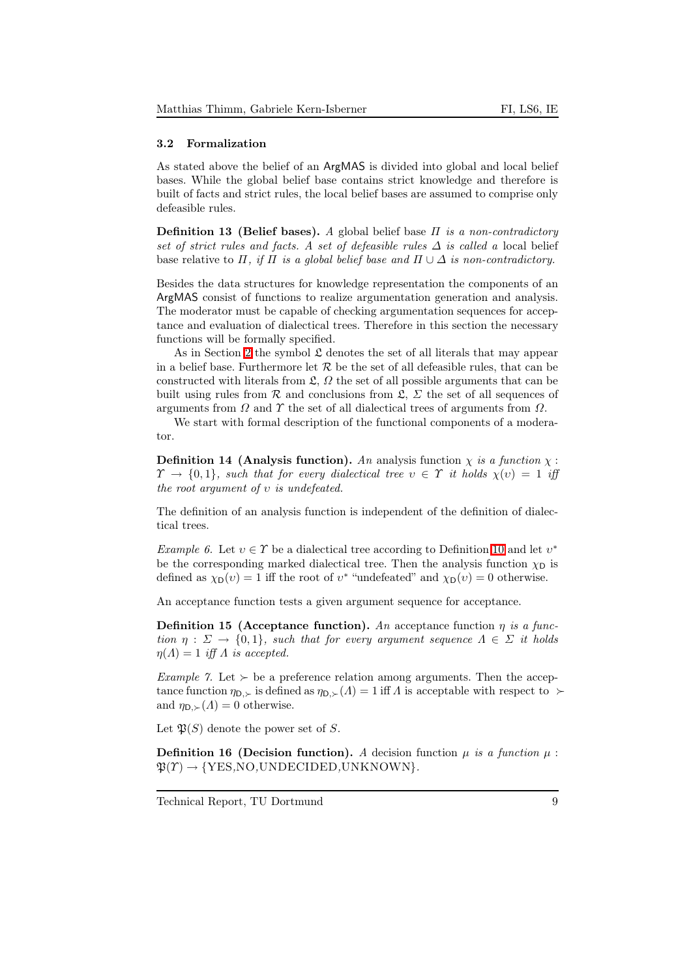#### 3.2 Formalization

As stated above the belief of an ArgMAS is divided into global and local belief bases. While the global belief base contains strict knowledge and therefore is built of facts and strict rules, the local belief bases are assumed to comprise only defeasible rules.

**Definition 13 (Belief bases).** A global belief base  $\Pi$  is a non-contradictory set of strict rules and facts. A set of defeasible rules  $\Delta$  is called a local belief base relative to  $\Pi$ , if  $\Pi$  is a global belief base and  $\Pi \cup \Delta$  is non-contradictory.

Besides the data structures for knowledge representation the components of an ArgMAS consist of functions to realize argumentation generation and analysis. The moderator must be capable of checking argumentation sequences for acceptance and evaluation of dialectical trees. Therefore in this section the necessary functions will be formally specified.

As in Section [2](#page-1-0) the symbol  $\mathfrak L$  denotes the set of all literals that may appear in a belief base. Furthermore let  $\mathcal R$  be the set of all defeasible rules, that can be constructed with literals from  $\mathfrak{L}, \Omega$  the set of all possible arguments that can be built using rules from  $\mathcal R$  and conclusions from  $\mathfrak L$ ,  $\Sigma$  the set of all sequences of arguments from  $\Omega$  and  $\Upsilon$  the set of all dialectical trees of arguments from  $\Omega$ .

We start with formal description of the functional components of a moderator.

**Definition 14 (Analysis function).** An analysis function  $\chi$  is a function  $\chi$ :  $\Upsilon \to \{0,1\}$ , such that for every dialectical tree  $v \in \Upsilon$  it holds  $\chi(v) = 1$  iff the root argument of  $v$  is undefeated.

The definition of an analysis function is independent of the definition of dialectical trees.

Example 6. Let  $v \in \Upsilon$  be a dialectical tree according to Definition [10](#page-5-0) and let  $v^*$ be the corresponding marked dialectical tree. Then the analysis function  $\chi_D$  is defined as  $\chi_D(v) = 1$  iff the root of  $v^*$  "undefeated" and  $\chi_D(v) = 0$  otherwise.

An acceptance function tests a given argument sequence for acceptance.

**Definition 15** (Acceptance function). An acceptance function  $\eta$  is a function  $\eta : \Sigma \to \{0,1\}$ , such that for every argument sequence  $\Lambda \in \Sigma$  it holds  $\eta(\Lambda) = 1$  iff  $\Lambda$  is accepted.

*Example 7.* Let  $\succ$  be a preference relation among arguments. Then the acceptance function  $\eta_{D,}\succ$  is defined as  $\eta_{D,\succ}(A)=1$  iff A is acceptable with respect to  $\succ$ and  $\eta_{\mathsf{D},\succ}(\Lambda)=0$  otherwise.

Let  $\mathfrak{P}(S)$  denote the power set of S.

**Definition 16 (Decision function).** A decision function  $\mu$  is a function  $\mu$ :  $\mathfrak{P}(T) \rightarrow \{YES, NO, UNDECIDED, UNKNOWN\}.$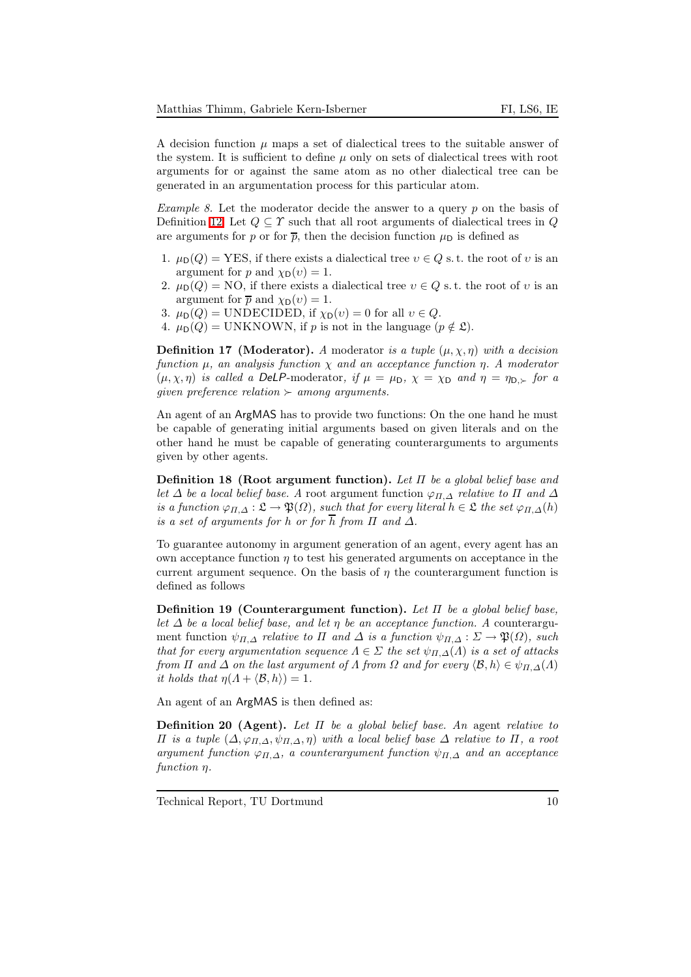A decision function  $\mu$  maps a set of dialectical trees to the suitable answer of the system. It is sufficient to define  $\mu$  only on sets of dialectical trees with root arguments for or against the same atom as no other dialectical tree can be generated in an argumentation process for this particular atom.

*Example 8.* Let the moderator decide the answer to a query  $p$  on the basis of Definition [12.](#page-5-1) Let  $Q \subseteq \Upsilon$  such that all root arguments of dialectical trees in  $Q$ are arguments for p or for  $\bar{p}$ , then the decision function  $\mu_{\rm D}$  is defined as

- 1.  $\mu_D(Q) = \text{YES},$  if there exists a dialectical tree  $v \in Q$  s.t. the root of v is an argument for p and  $\chi_D(v) = 1$ .
- 2.  $\mu_D(Q) = \text{NO}$ , if there exists a dialectical tree  $v \in Q$  s.t. the root of v is an argument for  $\bar{p}$  and  $\chi_D(v) = 1$ .
- 3.  $\mu_D(Q) = \text{UNDECIDED}$ , if  $\chi_D(v) = 0$  for all  $v \in Q$ .
- 4.  $\mu_D(Q) = \text{UNKNOWLEDN}$ , if p is not in the language  $(p \notin \mathfrak{L})$ .

**Definition 17 (Moderator).** A moderator is a tuple  $(\mu, \chi, \eta)$  with a decision function  $\mu$ , an analysis function  $\chi$  and an acceptance function  $\eta$ . A moderator  $(\mu, \chi, \eta)$  is called a DeLP-moderator, if  $\mu = \mu_D$ ,  $\chi = \chi_D$  and  $\eta = \eta_{D, \succ}$  for a given preference relation  $\succ$  among arguments.

An agent of an ArgMAS has to provide two functions: On the one hand he must be capable of generating initial arguments based on given literals and on the other hand he must be capable of generating counterarguments to arguments given by other agents.

**Definition 18 (Root argument function).** Let  $\Pi$  be a global belief base and let  $\Delta$  be a local belief base. A root argument function  $\varphi_{\Pi,\Delta}$  relative to  $\Pi$  and  $\Delta$ is a function  $\varphi_{\Pi,\Delta}: \mathfrak{L} \to \mathfrak{P}(\Omega)$ , such that for every literal  $h \in \mathfrak{L}$  the set  $\varphi_{\Pi,\Delta}(h)$ is a set of arguments for h or for  $\overline{h}$  from  $\Pi$  and  $\Delta$ .

To guarantee autonomy in argument generation of an agent, every agent has an own acceptance function  $\eta$  to test his generated arguments on acceptance in the current argument sequence. On the basis of  $\eta$  the counterargument function is defined as follows

Definition 19 (Counterargument function). Let  $\Pi$  be a global belief base, let  $\Delta$  be a local belief base, and let  $\eta$  be an acceptance function. A counterargument function  $\psi_{\Pi,\Delta}$  relative to  $\Pi$  and  $\Delta$  is a function  $\psi_{\Pi,\Delta} : \Sigma \to \mathfrak{P}(\Omega)$ , such that for every argumentation sequence  $\Lambda \in \Sigma$  the set  $\psi_{\Pi,\Delta}(\Lambda)$  is a set of attacks from  $\Pi$  and  $\Delta$  on the last argument of  $\Lambda$  from  $\Omega$  and for every  $\langle \mathcal{B}, h \rangle \in \psi_{\Pi, \Delta}(\Lambda)$ it holds that  $\eta(A + \langle \mathcal{B}, h \rangle) = 1$ .

An agent of an ArgMAS is then defined as:

**Definition 20 (Agent).** Let  $\Pi$  be a global belief base. An agent relative to Π is a tuple (∆, ϕΠ,∆, ψΠ,∆, η) with a local belief base ∆ relative to Π, a root argument function  $\varphi_{\Pi,\Delta}$ , a counterargument function  $\psi_{\Pi,\Delta}$  and an acceptance function η.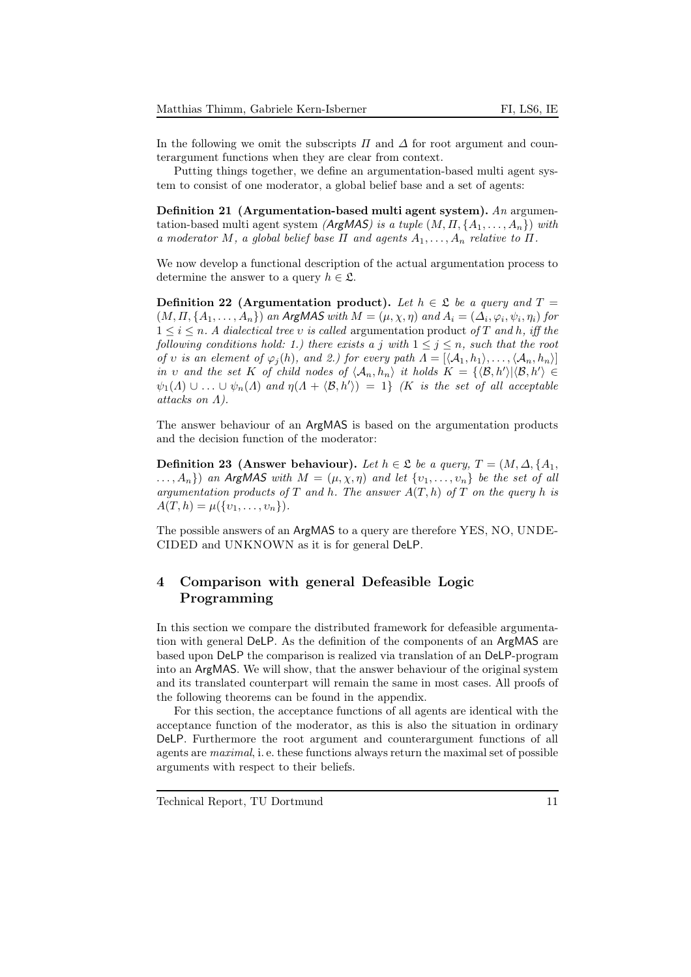In the following we omit the subscripts  $\Pi$  and  $\Delta$  for root argument and counterargument functions when they are clear from context.

<span id="page-10-0"></span>Putting things together, we define an argumentation-based multi agent system to consist of one moderator, a global belief base and a set of agents:

Definition 21 (Argumentation-based multi agent system). An argumentation-based multi agent system (ArgMAS) is a tuple  $(M, \Pi, \{A_1, \ldots, A_n\})$  with a moderator M, a global belief base  $\Pi$  and agents  $A_1, \ldots, A_n$  relative to  $\Pi$ .

We now develop a functional description of the actual argumentation process to determine the answer to a query  $h \in \mathfrak{L}$ .

Definition 22 (Argumentation product). Let  $h \in \mathfrak{L}$  be a query and  $T =$  $(M, \Pi, \{A_1, \ldots, A_n\})$  an ArgMAS with  $M = (\mu, \chi, \eta)$  and  $A_i = (\Delta_i, \varphi_i, \psi_i, \eta_i)$  for  $1 \leq i \leq n$ . A dialectical tree v is called argumentation product of T and h, iff the following conditions hold: 1.) there exists a j with  $1 \le j \le n$ , such that the root of v is an element of  $\varphi_i(h)$ , and 2.) for every path  $\Lambda = [\langle A_1, h_1 \rangle, \ldots, \langle A_n, h_n \rangle]$ in v and the set K of child nodes of  $\langle A_n, h_n \rangle$  it holds  $K = {\langle \langle \mathcal{B}, h' \rangle | \langle \mathcal{B}, h' \rangle \in \mathbb{R}^n}$  $\psi_1(\Lambda) \cup \ldots \cup \psi_n(\Lambda)$  and  $\eta(\Lambda + \langle \mathcal{B}, h' \rangle) = 1$  (K is the set of all acceptable attacks on Λ).

The answer behaviour of an ArgMAS is based on the argumentation products and the decision function of the moderator:

**Definition 23** (Answer behaviour). Let  $h \in \mathcal{L}$  be a query,  $T = (M, \Delta, \{A_1,$  $\ldots, A_n$ ) an ArgMAS with  $M = (\mu, \chi, \eta)$  and let  $\{v_1, \ldots, v_n\}$  be the set of all argumentation products of T and h. The answer  $A(T, h)$  of T on the query h is  $A(T, h) = \mu({v_1, \ldots, v_n}).$ 

The possible answers of an ArgMAS to a query are therefore YES, NO, UNDE-CIDED and UNKNOWN as it is for general DeLP.

# <span id="page-10-1"></span>4 Comparison with general Defeasible Logic Programming

In this section we compare the distributed framework for defeasible argumentation with general DeLP. As the definition of the components of an ArgMAS are based upon DeLP the comparison is realized via translation of an DeLP-program into an ArgMAS. We will show, that the answer behaviour of the original system and its translated counterpart will remain the same in most cases. All proofs of the following theorems can be found in the appendix.

For this section, the acceptance functions of all agents are identical with the acceptance function of the moderator, as this is also the situation in ordinary DeLP. Furthermore the root argument and counterargument functions of all agents are maximal, i. e. these functions always return the maximal set of possible arguments with respect to their beliefs.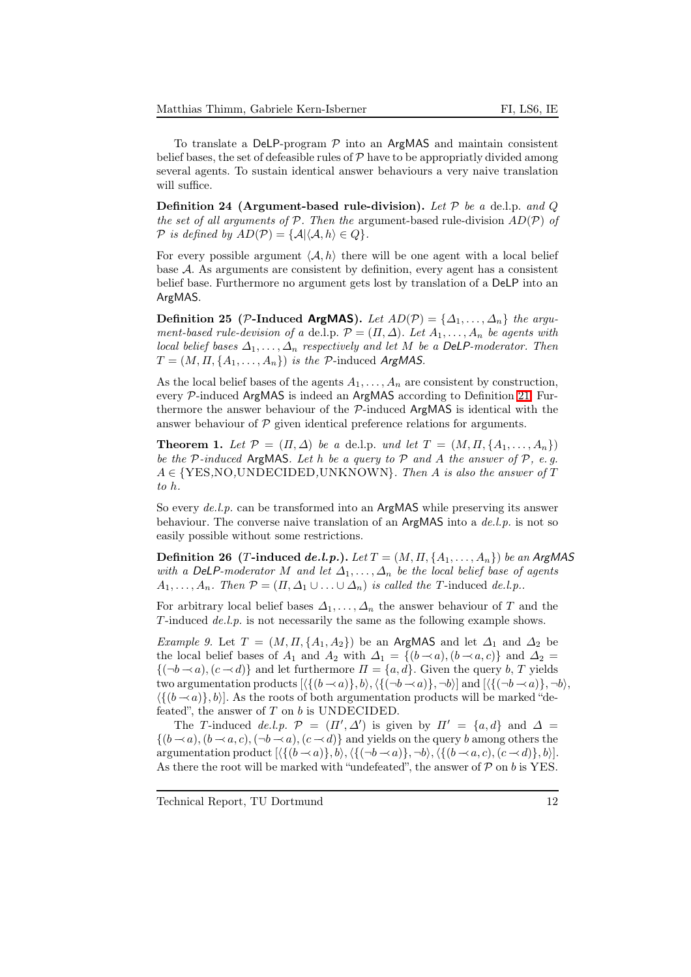To translate a DeLP-program  $P$  into an ArgMAS and maintain consistent belief bases, the set of defeasible rules of  $P$  have to be appropriatly divided among several agents. To sustain identical answer behaviours a very naive translation will suffice.

Definition 24 (Argument-based rule-division). Let  $P$  be a deli.p. and Q the set of all arguments of  $P$ . Then the argument-based rule-division  $AD(P)$  of  $P$  is defined by  $AD(P) = \{A | \langle A, h \rangle \in Q\}.$ 

For every possible argument  $\langle A, h \rangle$  there will be one agent with a local belief base A. As arguments are consistent by definition, every agent has a consistent belief base. Furthermore no argument gets lost by translation of a DeLP into an ArgMAS.

Definition 25 (P-Induced ArgMAS). Let  $AD(\mathcal{P}) = {\Delta_1, \ldots, \Delta_n}$  the argument-based rule-devision of a de.l.p.  $\mathcal{P} = (\Pi, \Delta)$ . Let  $A_1, \ldots, A_n$  be agents with local belief bases  $\Delta_1, \ldots, \Delta_n$  respectively and let M be a DeLP-moderator. Then  $T = (M, \Pi, \{A_1, \ldots, A_n\})$  is the P-induced ArgMAS.

As the local belief bases of the agents  $A_1, \ldots, A_n$  are consistent by construction, every P-induced ArgMAS is indeed an ArgMAS according to Definition [21.](#page-10-0) Furthermore the answer behaviour of the  $P$ -induced ArgMAS is identical with the answer behaviour of  $P$  given identical preference relations for arguments.

**Theorem 1.** Let  $\mathcal{P} = (\Pi, \Delta)$  be a de.l.p. und let  $T = (M, \Pi, \{A_1, \ldots, A_n\})$ be the  $P$ -induced ArgMAS. Let h be a query to  $P$  and A the answer of  $P$ , e.g.  $A \in \{YES, NO, UNDECIDED, UNKNOWN\}$ . Then A is also the answer of T to h.

So every *de.l.p.* can be transformed into an ArgMAS while preserving its answer behaviour. The converse naive translation of an  $ArgMAS$  into a  $de.l.p.$  is not so easily possible without some restrictions.

**Definition 26** (T-induced de.l.p.). Let  $T = (M, \Pi, \{A_1, \ldots, A_n\})$  be an ArgMAS with a DeLP-moderator M and let  $\Delta_1, \ldots, \Delta_n$  be the local belief base of agents  $A_1, \ldots, A_n$ . Then  $\mathcal{P} = (\Pi, \Delta_1 \cup \ldots \cup \Delta_n)$  is called the T-induced de.l.p..

<span id="page-11-0"></span>For arbitrary local belief bases  $\Delta_1, \ldots, \Delta_n$  the answer behaviour of T and the T-induced  $de.l.p.$  is not necessarily the same as the following example shows.

Example 9. Let  $T = (M, \Pi, \{A_1, A_2\})$  be an ArgMAS and let  $\Delta_1$  and  $\Delta_2$  be the local belief bases of  $A_1$  and  $A_2$  with  $\Delta_1 = \{(b \prec a), (b \prec a, c)\}\$ and  $\Delta_2 =$  $\{(-b \rightarrow a), (c \rightarrow d)\}\$ and let furthermore  $\Pi = \{a, d\}$ . Given the query b, T yields two argumentation products  $[\langle \{(b \prec a)\},b\rangle,\langle \{(\neg b \prec a)\},\neg b\rangle]$  and  $[\langle \{(\neg b \prec a)\},\neg b\rangle,$  $\langle \{(b \rightarrow a)\}, b \rangle$ . As the roots of both argumentation products will be marked "defeated", the answer of  $T$  on  $b$  is UNDECIDED.

The T-induced de.l.p.  $\mathcal{P} = (\Pi', \Delta')$  is given by  $\Pi' = \{a, d\}$  and  $\Delta =$  $\{(b \rightarrow a), (b \rightarrow a, c), (\neg b \rightarrow a), (c \rightarrow d)\}\$ and yields on the query b among others the argumentation product  $[\langle \{(b \prec a)\},b\rangle, \langle \{(\neg b \prec a)\}, \neg b\rangle, \langle \{(b \prec a, c), (c \prec d)\}, b\rangle].$ As there the root will be marked with "undefeated", the answer of  $P$  on b is YES.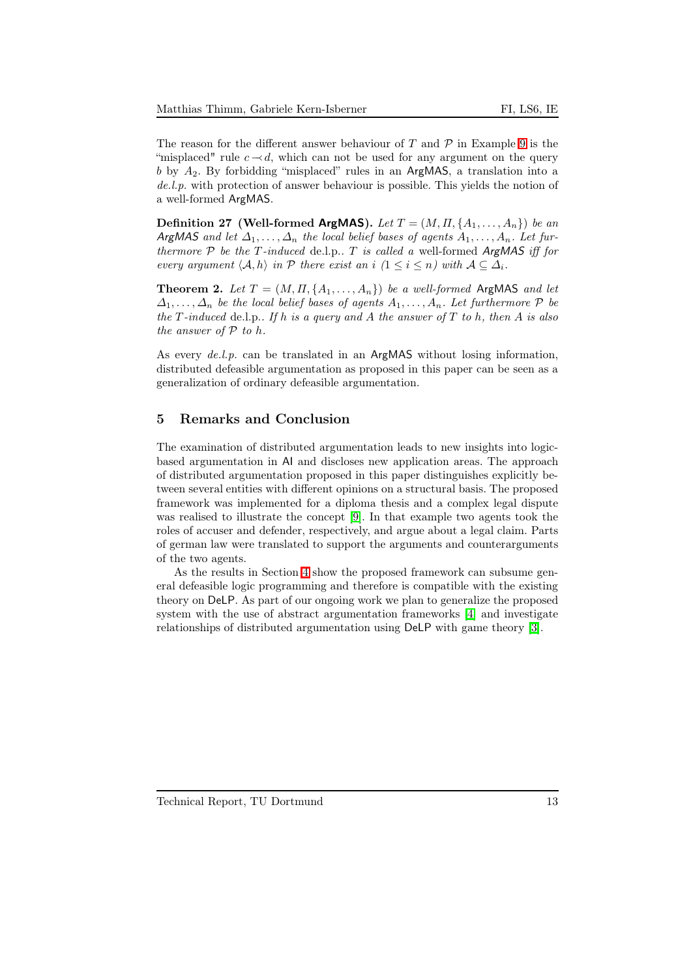The reason for the different answer behaviour of T and  $\mathcal P$  in Example [9](#page-11-0) is the "misplaced" rule  $c \sim d$ , which can not be used for any argument on the query  $b$  by  $A_2$ . By forbidding "misplaced" rules in an ArgMAS, a translation into a de.l.p. with protection of answer behaviour is possible. This yields the notion of a well-formed ArgMAS.

**Definition 27 (Well-formed ArgMAS).** Let  $T = (M, \Pi, \{A_1, \ldots, A_n\})$  be an ArgMAS and let  $\Delta_1, \ldots, \Delta_n$  the local belief bases of agents  $A_1, \ldots, A_n$ . Let furthermore  $P$  be the T-induced de.l.p..  $T$  is called a well-formed ArgMAS iff for every argument  $\langle A, h \rangle$  in P there exist an i  $(1 \leq i \leq n)$  with  $A \subseteq \Delta_i$ .

**Theorem 2.** Let  $T = (M, \Pi, \{A_1, \ldots, A_n\})$  be a well-formed ArgMAS and let  $\Delta_1, \ldots, \Delta_n$  be the local belief bases of agents  $A_1, \ldots, A_n$ . Let furthermore  $\mathcal P$  be the T-induced de.l.p.. If h is a query and A the answer of  $T$  to h, then A is also the answer of  $P$  to h.

As every *de.l.p.* can be translated in an ArgMAS without losing information, distributed defeasible argumentation as proposed in this paper can be seen as a generalization of ordinary defeasible argumentation.

#### 5 Remarks and Conclusion

The examination of distributed argumentation leads to new insights into logicbased argumentation in AI and discloses new application areas. The approach of distributed argumentation proposed in this paper distinguishes explicitly between several entities with different opinions on a structural basis. The proposed framework was implemented for a diploma thesis and a complex legal dispute was realised to illustrate the concept [\[9\]](#page-13-6). In that example two agents took the roles of accuser and defender, respectively, and argue about a legal claim. Parts of german law were translated to support the arguments and counterarguments of the two agents.

As the results in Section [4](#page-10-1) show the proposed framework can subsume general defeasible logic programming and therefore is compatible with the existing theory on DeLP. As part of our ongoing work we plan to generalize the proposed system with the use of abstract argumentation frameworks [\[4\]](#page-13-7) and investigate relationships of distributed argumentation using DeLP with game theory [\[3\]](#page-13-8).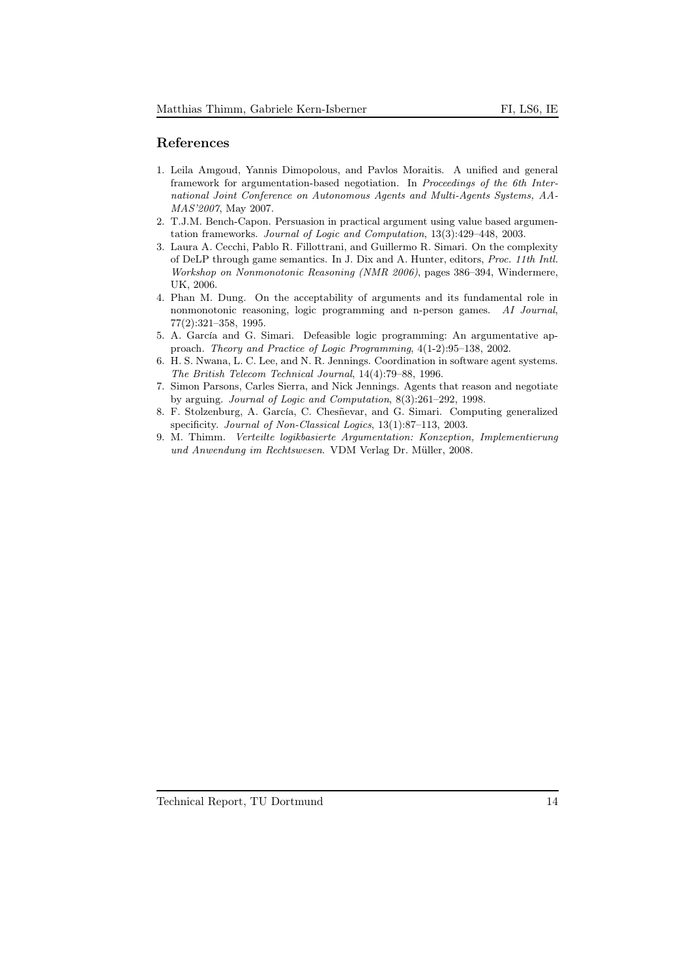#### References

- <span id="page-13-1"></span>1. Leila Amgoud, Yannis Dimopolous, and Pavlos Moraitis. A unified and general framework for argumentation-based negotiation. In Proceedings of the 6th International Joint Conference on Autonomous Agents and Multi-Agents Systems, AA-MAS'2007, May 2007.
- <span id="page-13-3"></span>2. T.J.M. Bench-Capon. Persuasion in practical argument using value based argumentation frameworks. Journal of Logic and Computation, 13(3):429–448, 2003.
- <span id="page-13-8"></span>3. Laura A. Cecchi, Pablo R. Fillottrani, and Guillermo R. Simari. On the complexity of DeLP through game semantics. In J. Dix and A. Hunter, editors, Proc. 11th Intl. Workshop on Nonmonotonic Reasoning (NMR 2006), pages 386–394, Windermere, UK, 2006.
- <span id="page-13-7"></span>4. Phan M. Dung. On the acceptability of arguments and its fundamental role in nonmonotonic reasoning, logic programming and n-person games. AI Journal, 77(2):321–358, 1995.
- <span id="page-13-5"></span><span id="page-13-0"></span>5. A. García and G. Simari. Defeasible logic programming: An argumentative approach. Theory and Practice of Logic Programming, 4(1-2):95–138, 2002.
- 6. H. S. Nwana, L. C. Lee, and N. R. Jennings. Coordination in software agent systems. The British Telecom Technical Journal, 14(4):79–88, 1996.
- <span id="page-13-2"></span>7. Simon Parsons, Carles Sierra, and Nick Jennings. Agents that reason and negotiate by arguing. Journal of Logic and Computation, 8(3):261–292, 1998.
- <span id="page-13-4"></span>8. F. Stolzenburg, A. García, C. Chesñevar, and G. Simari. Computing generalized specificity. Journal of Non-Classical Logics, 13(1):87–113, 2003.
- <span id="page-13-6"></span>9. M. Thimm. Verteilte logikbasierte Argumentation: Konzeption, Implementierung und Anwendung im Rechtswesen. VDM Verlag Dr. Müller, 2008.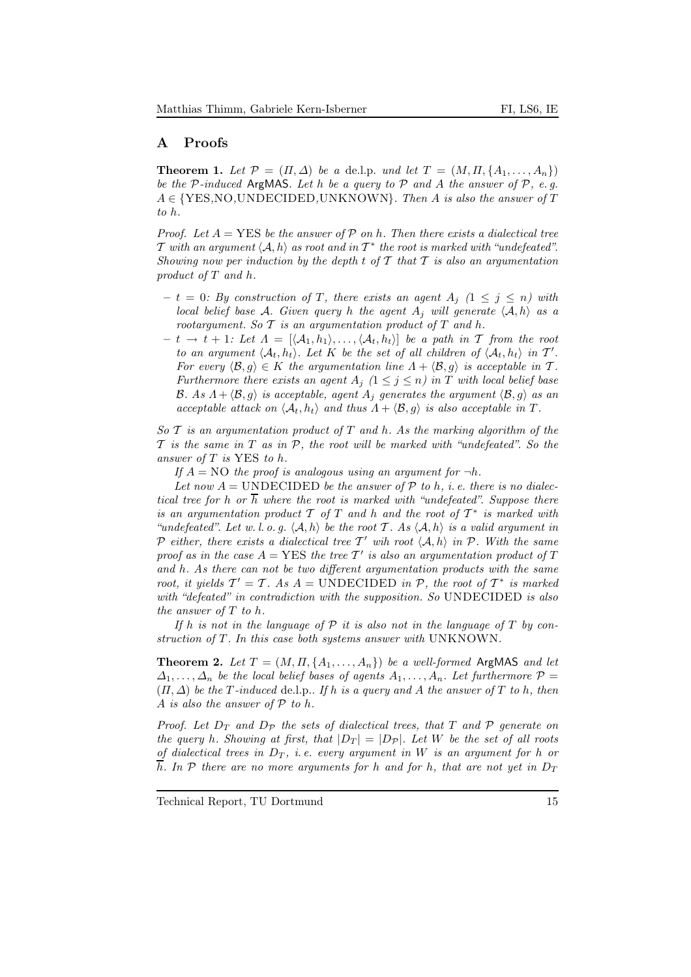## A Proofs

**Theorem 1.** Let  $\mathcal{P} = (\Pi, \Delta)$  be a de.l.p. und let  $T = (M, \Pi, \{A_1, \ldots, A_n\})$ be the  $P$ -induced ArgMAS. Let h be a query to  $P$  and A the answer of  $P$ , e.g.  $A \in \{YES, NO, UNDECIDED, UNKNOWN\}$ . Then A is also the answer of T to h.

*Proof.* Let  $A = \text{YES}$  be the answer of  $\mathcal P$  on h. Then there exists a dialectical tree T with an argument  $\langle A, h \rangle$  as root and in  $T^*$  the root is marked with "undefeated". Showing now per induction by the depth  $t$  of  $T$  that  $T$  is also an argumentation product of T and h.

- $-t = 0$ : By construction of T, there exists an agent  $A_i$   $(1 \leq j \leq n)$  with local belief base A. Given query h the agent  $A_i$  will generate  $\langle A, h \rangle$  as a rootargument. So  $T$  is an argumentation product of  $T$  and  $h$ .
- $t \rightarrow t + 1$ : Let  $\Lambda = [\langle A_1, h_1 \rangle, \ldots, \langle A_t, h_t \rangle]$  be a path in T from the root to an argument  $\langle A_t, h_t \rangle$ . Let K be the set of all children of  $\langle A_t, h_t \rangle$  in T'. For every  $\langle \mathcal{B}, g \rangle \in K$  the argumentation line  $\Lambda + \langle \mathcal{B}, g \rangle$  is acceptable in T. Furthermore there exists an agent  $A_j$   $(1 \leq j \leq n)$  in T with local belief base B. As  $A + \langle \mathcal{B}, g \rangle$  is acceptable, agent  $A_j$  generates the argument  $\langle \mathcal{B}, g \rangle$  as an acceptable attack on  $\langle A_t, h_t \rangle$  and thus  $\Lambda + \langle \mathcal{B}, g \rangle$  is also acceptable in T.

So  $\mathcal T$  is an argumentation product of  $T$  and h. As the marking algorithm of the  $\mathcal T$  is the same in  $T$  as in  $\mathcal P$ , the root will be marked with "undefeated". So the answer of T is YES to h.

If  $A = NO$  the proof is analogous using an argument for  $\neg h$ .

Let now  $A =$  UNDECIDED be the answer of  $P$  to h, i. e. there is no dialectical tree for h or  $\overline{h}$  where the root is marked with "undefeated". Suppose there is an argumentation product  $T$  of  $T$  and  $h$  and the root of  $T^*$  is marked with "undefeated". Let w.l.o.g.  $\langle A, h \rangle$  be the root T. As  $\langle A, h \rangle$  is a valid argument in P either, there exists a dialectical tree T' wih root  $\langle A, h \rangle$  in P. With the same proof as in the case  $A = \text{YES}$  the tree  $\mathcal{T}'$  is also an argumentation product of T and h. As there can not be two different argumentation products with the same root, it yields  $T' = T$ . As  $A = UNDECIDED$  in  $P$ , the root of  $T^*$  is marked with "defeated" in contradiction with the supposition. So UNDECIDED is also the answer of T to h.

If h is not in the language of  $P$  it is also not in the language of T by construction of  $T$ . In this case both systems answer with UNKNOWN.

**Theorem 2.** Let  $T = (M, \Pi, \{A_1, \ldots, A_n\})$  be a well-formed ArgMAS and let  $\Delta_1, \ldots, \Delta_n$  be the local belief bases of agents  $A_1, \ldots, A_n$ . Let furthermore  $\mathcal{P} =$  $(\Pi, \Delta)$  be the T-induced de.l.p.. If h is a query and A the answer of T to h, then A is also the answer of  $P$  to h.

Proof. Let  $D_T$  and  $D_P$  the sets of dialectical trees, that T and P generate on the query h. Showing at first, that  $|D_T| = |D_{\mathcal{P}}|$ . Let W be the set of all roots of dialectical trees in  $D_T$ , i.e. every argument in W is an argument for h or  $\overline{h}$ . In P there are no more arguments for h and for h, that are not yet in  $D_T$